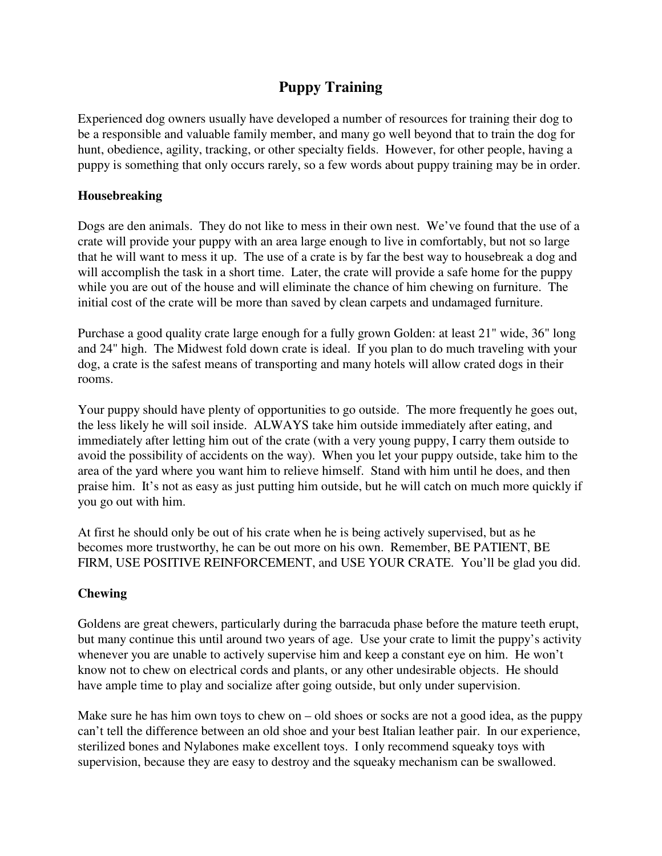# **Puppy Training**

Experienced dog owners usually have developed a number of resources for training their dog to be a responsible and valuable family member, and many go well beyond that to train the dog for hunt, obedience, agility, tracking, or other specialty fields. However, for other people, having a puppy is something that only occurs rarely, so a few words about puppy training may be in order.

# **Housebreaking**

Dogs are den animals. They do not like to mess in their own nest. We've found that the use of a crate will provide your puppy with an area large enough to live in comfortably, but not so large that he will want to mess it up. The use of a crate is by far the best way to housebreak a dog and will accomplish the task in a short time. Later, the crate will provide a safe home for the puppy while you are out of the house and will eliminate the chance of him chewing on furniture. The initial cost of the crate will be more than saved by clean carpets and undamaged furniture.

Purchase a good quality crate large enough for a fully grown Golden: at least 21" wide, 36" long and 24" high. The Midwest fold down crate is ideal. If you plan to do much traveling with your dog, a crate is the safest means of transporting and many hotels will allow crated dogs in their rooms.

Your puppy should have plenty of opportunities to go outside. The more frequently he goes out, the less likely he will soil inside. ALWAYS take him outside immediately after eating, and immediately after letting him out of the crate (with a very young puppy, I carry them outside to avoid the possibility of accidents on the way). When you let your puppy outside, take him to the area of the yard where you want him to relieve himself. Stand with him until he does, and then praise him. It's not as easy as just putting him outside, but he will catch on much more quickly if you go out with him.

At first he should only be out of his crate when he is being actively supervised, but as he becomes more trustworthy, he can be out more on his own. Remember, BE PATIENT, BE FIRM, USE POSITIVE REINFORCEMENT, and USE YOUR CRATE. You'll be glad you did.

# **Chewing**

Goldens are great chewers, particularly during the barracuda phase before the mature teeth erupt, but many continue this until around two years of age. Use your crate to limit the puppy's activity whenever you are unable to actively supervise him and keep a constant eye on him. He won't know not to chew on electrical cords and plants, or any other undesirable objects. He should have ample time to play and socialize after going outside, but only under supervision.

Make sure he has him own toys to chew on  $-$  old shoes or socks are not a good idea, as the puppy can't tell the difference between an old shoe and your best Italian leather pair. In our experience, sterilized bones and Nylabones make excellent toys. I only recommend squeaky toys with supervision, because they are easy to destroy and the squeaky mechanism can be swallowed.